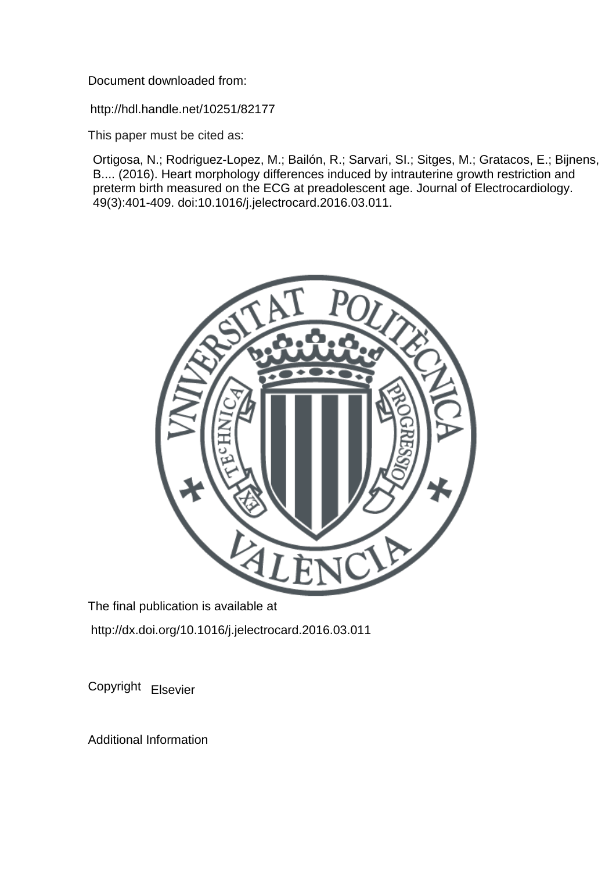Document downloaded from:

http://hdl.handle.net/10251/82177

This paper must be cited as:

Ortigosa, N.; Rodriguez-Lopez, M.; Bailón, R.; Sarvari, SI.; Sitges, M.; Gratacos, E.; Bijnens, B.... (2016). Heart morphology differences induced by intrauterine growth restriction and preterm birth measured on the ECG at preadolescent age. Journal of Electrocardiology. 49(3):401-409. doi:10.1016/j.jelectrocard.2016.03.011.



The final publication is available at http://dx.doi.org/10.1016/j.jelectrocard.2016.03.011

Copyright Elsevier

Additional Information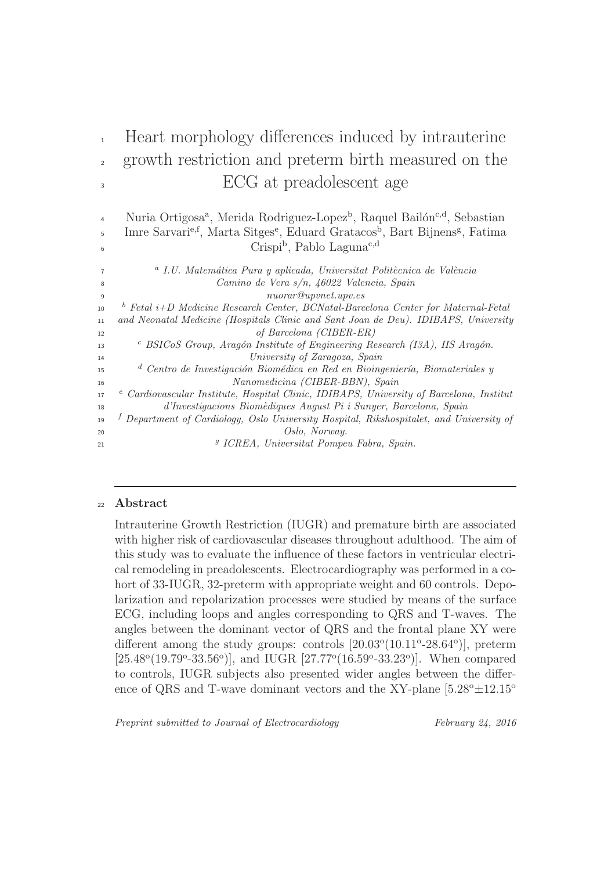# <sup>1</sup> Heart morphology differences induced by intrauterine <sup>2</sup> growth restriction and preterm birth measured on the <sup>3</sup> ECG at preadolescent age

<sup>4</sup> Nuria Ortigosa<sup>a</sup>, Merida Rodriguez-Lopez<sup>b</sup>, Raquel Bailón<sup>c,d</sup>, Sebastian <sup>5</sup> Imre Sarvari<sup>e,f</sup>, Marta Sitges<sup>e</sup>, Eduard Gratacos<sup>b</sup>, Bart Bijnens<sup>g</sup>, Fatima Crispi<sup>b</sup>, Pablo Laguna<sup>c,d</sup>

<sup>a</sup> I.U. Matemática Pura y aplicada, Universitat Politècnica de València <sup>8</sup> Camino de Vera s/n, 46022 Valencia, Spain <sup>9</sup> nuorar@upvnet.upv.es <sup>1</sup> Fetal i+D Medicine Research Center, BCNatal-Barcelona Center for Maternal-Fetal <sup>11</sup> and Neonatal Medicine (Hospitals Clinic and Sant Joan de Deu). IDIBAPS, University <sup>12</sup> of Barcelona (CIBER-ER) <sup>c</sup> BSICoS Group, Aragón Institute of Engineering Research (I3A), IIS Aragón. <sup>14</sup> University of Zaragoza, Spain <sup>1</sup> Centro de Investigación Biomédica en Red en Bioingeniería, Biomateriales y <sup>16</sup> Nanomedicina (CIBER-BBN), Spain <sup>17</sup> <sup>e</sup> Cardiovascular Institute, Hospital Clinic, IDIBAPS, University of Barcelona, Institut <sup>18</sup> d'Investigacions Biom`ediques August Pi i Sunyer, Barcelona, Spain <sup>19</sup> <sup>f</sup> Department of Cardiology, Oslo University Hospital, Rikshospitalet, and University of <sup>20</sup> Oslo, Norway. g <sup>21</sup> ICREA, Universitat Pompeu Fabra, Spain.

# <sup>22</sup> Abstract

6

Intrauterine Growth Restriction (IUGR) and premature birth are associated with higher risk of cardiovascular diseases throughout adulthood. The aim of this study was to evaluate the influence of these factors in ventricular electrical remodeling in preadolescents. Electrocardiography was performed in a cohort of 33-IUGR, 32-preterm with appropriate weight and 60 controls. Depolarization and repolarization processes were studied by means of the surface ECG, including loops and angles corresponding to QRS and T-waves. The angles between the dominant vector of QRS and the frontal plane XY were different among the study groups: controls  $[20.03^{\circ}(10.11^{\circ} - 28.64^{\circ})]$ , preterm [ $25.48^{\circ}(19.79^{\circ}-33.56^{\circ})$ ], and IUGR [ $27.77^{\circ}(16.59^{\circ}-33.23^{\circ})$ ]. When compared to controls, IUGR subjects also presented wider angles between the difference of QRS and T-wave dominant vectors and the XY-plane  $[5.28^{\circ} \pm 12.15^{\circ}$ 

Preprint submitted to Journal of Electrocardiology February 24, 2016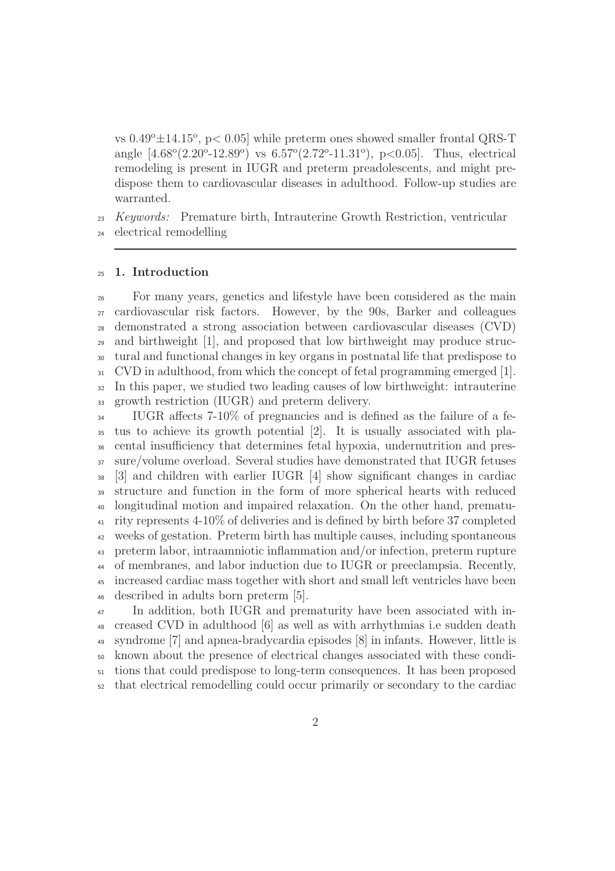vs  $0.49^{\circ} \pm 14.15^{\circ}$ , p $< 0.05$ ] while preterm ones showed smaller frontal QRS-T angle  $[4.68^{\circ}(2.20^{\circ} - 12.89^{\circ})$  vs  $6.57^{\circ}(2.72^{\circ} - 11.31^{\circ})$ , p<0.05]. Thus, electrical remodeling is present in IUGR and preterm preadolescents, and might predispose them to cardiovascular diseases in adulthood. Follow-up studies are warranted.

 *Keywords:* Premature birth, Intrauterine Growth Restriction, ventricular electrical remodelling

## 1. Introduction

 For many years, genetics and lifestyle have been considered as the main cardiovascular risk factors. However, by the 90s, Barker and colleagues demonstrated a strong association between cardiovascular diseases (CVD) and birthweight [1], and proposed that low birthweight may produce struc- tural and functional changes in key organs in postnatal life that predispose to CVD in adulthood, from which the concept of fetal programming emerged [1]. In this paper, we studied two leading causes of low birthweight: intrauterine growth restriction (IUGR) and preterm delivery.

 IUGR affects 7-10% of pregnancies and is defined as the failure of a fe- tus to achieve its growth potential [2]. It is usually associated with pla- cental insufficiency that determines fetal hypoxia, undernutrition and pres- sure/volume overload. Several studies have demonstrated that IUGR fetuses  $38 \quad$  [3] and children with earlier IUGR [4] show significant changes in cardiac structure and function in the form of more spherical hearts with reduced longitudinal motion and impaired relaxation. On the other hand, prematu- rity represents 4-10% of deliveries and is defined by birth before 37 completed weeks of gestation. Preterm birth has multiple causes, including spontaneous preterm labor, intraamniotic inflammation and/or infection, preterm rupture of membranes, and labor induction due to IUGR or preeclampsia. Recently, increased cardiac mass together with short and small left ventricles have been described in adults born preterm [5].

 In addition, both IUGR and prematurity have been associated with in- creased CVD in adulthood [6] as well as with arrhythmias i.e sudden death syndrome [7] and apnea-bradycardia episodes [8] in infants. However, little is known about the presence of electrical changes associated with these condi- tions that could predispose to long-term consequences. It has been proposed that electrical remodelling could occur primarily or secondary to the cardiac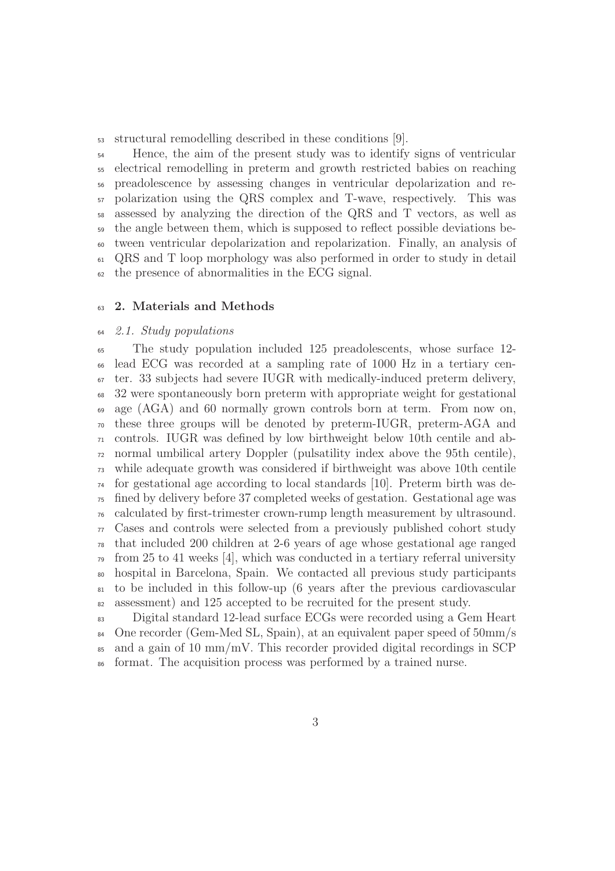structural remodelling described in these conditions [9].

 Hence, the aim of the present study was to identify signs of ventricular electrical remodelling in preterm and growth restricted babies on reaching preadolescence by assessing changes in ventricular depolarization and re- polarization using the QRS complex and T-wave, respectively. This was assessed by analyzing the direction of the QRS and T vectors, as well as the angle between them, which is supposed to reflect possible deviations be- tween ventricular depolarization and repolarization. Finally, an analysis of QRS and T loop morphology was also performed in order to study in detail the presence of abnormalities in the ECG signal.

# 2. Materials and Methods

#### *2.1. Study populations*

 The study population included 125 preadolescents, whose surface 12- lead ECG was recorded at a sampling rate of 1000 Hz in a tertiary cen- ter. 33 subjects had severe IUGR with medically-induced preterm delivery, 32 were spontaneously born preterm with appropriate weight for gestational age (AGA) and 60 normally grown controls born at term. From now on, these three groups will be denoted by preterm-IUGR, preterm-AGA and controls. IUGR was defined by low birthweight below 10th centile and ab- normal umbilical artery Doppler (pulsatility index above the 95th centile), while adequate growth was considered if birthweight was above 10th centile for gestational age according to local standards [10]. Preterm birth was de- fined by delivery before 37 completed weeks of gestation. Gestational age was calculated by first-trimester crown-rump length measurement by ultrasound. Cases and controls were selected from a previously published cohort study that included 200 children at 2-6 years of age whose gestational age ranged  $\tau$ <sup>9</sup> from 25 to 41 weeks [4], which was conducted in a tertiary referral university hospital in Barcelona, Spain. We contacted all previous study participants to be included in this follow-up (6 years after the previous cardiovascular assessment) and 125 accepted to be recruited for the present study.

 Digital standard 12-lead surface ECGs were recorded using a Gem Heart <sup>84</sup> One recorder (Gem-Med SL, Spain), at an equivalent paper speed of 50mm/s and a gain of 10 mm/mV. This recorder provided digital recordings in SCP format. The acquisition process was performed by a trained nurse.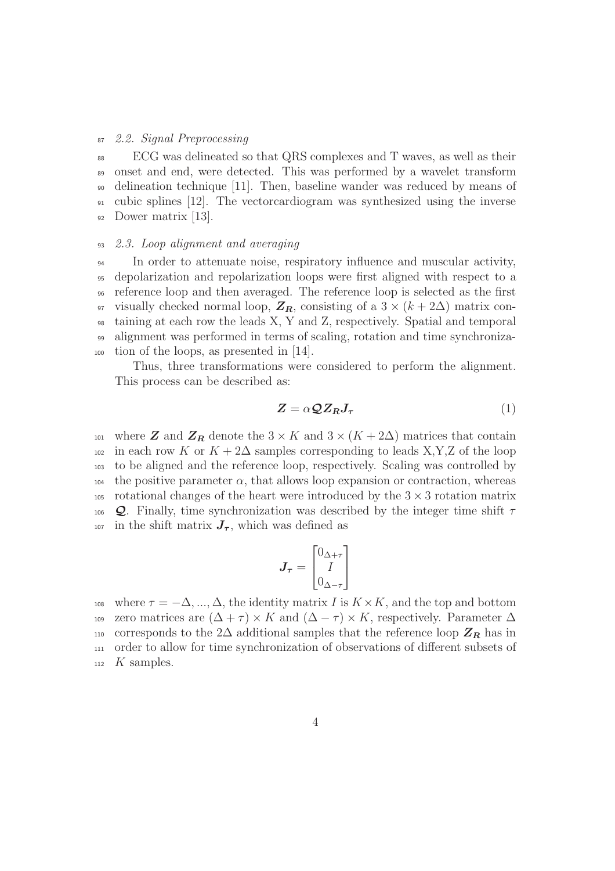#### <sup>87</sup> *2.2. Signal Preprocessing*

 ECG was delineated so that QRS complexes and T waves, as well as their onset and end, were detected. This was performed by a wavelet transform delineation technique [11]. Then, baseline wander was reduced by means of cubic splines [12]. The vectorcardiogram was synthesized using the inverse Dower matrix [13].

## <sup>93</sup> *2.3. Loop alignment and averaging*

 In order to attenuate noise, respiratory influence and muscular activity, depolarization and repolarization loops were first aligned with respect to a reference loop and then averaged. The reference loop is selected as the first 97 visually checked normal loop,  $\mathbf{Z}_R$ , consisting of a 3 × ( $k + 2\Delta$ ) matrix con- taining at each row the leads X, Y and Z, respectively. Spatial and temporal alignment was performed in terms of scaling, rotation and time synchroniza-tion of the loops, as presented in [14].

Thus, three transformations were considered to perform the alignment. This process can be described as:

$$
Z = \alpha \mathcal{Q} Z_R J_\tau \tag{1}
$$

101 where **Z** and  $\mathbb{Z}_R$  denote the 3 × K and 3 × (K + 2 $\Delta$ ) matrices that contain  $102$  in each row K or  $K + 2\Delta$  samples corresponding to leads X,Y,Z of the loop <sup>103</sup> to be aligned and the reference loop, respectively. Scaling was controlled by 104 the positive parameter  $\alpha$ , that allows loop expansion or contraction, whereas 105 rotational changes of the heart were introduced by the  $3 \times 3$  rotation matrix 106 Q. Finally, time synchronization was described by the integer time shift  $\tau$ 107 in the shift matrix  $J_{\tau}$ , which was defined as

$$
\boldsymbol{J}_{\boldsymbol{\tau}} = \begin{bmatrix} 0_{\Delta+\tau} \\ I \\ 0_{\Delta-\tau} \end{bmatrix}
$$

108 where  $\tau = -\Delta, ..., \Delta$ , the identity matrix I is  $K \times K$ , and the top and bottom 109 zero matrices are  $(\Delta + \tau) \times K$  and  $(\Delta - \tau) \times K$ , respectively. Parameter  $\Delta$ 110 corresponds to the 2 $\Delta$  additional samples that the reference loop  $\mathbb{Z}_R$  has in <sup>111</sup> order to allow for time synchronization of observations of different subsets of  $_{112}$  K samples.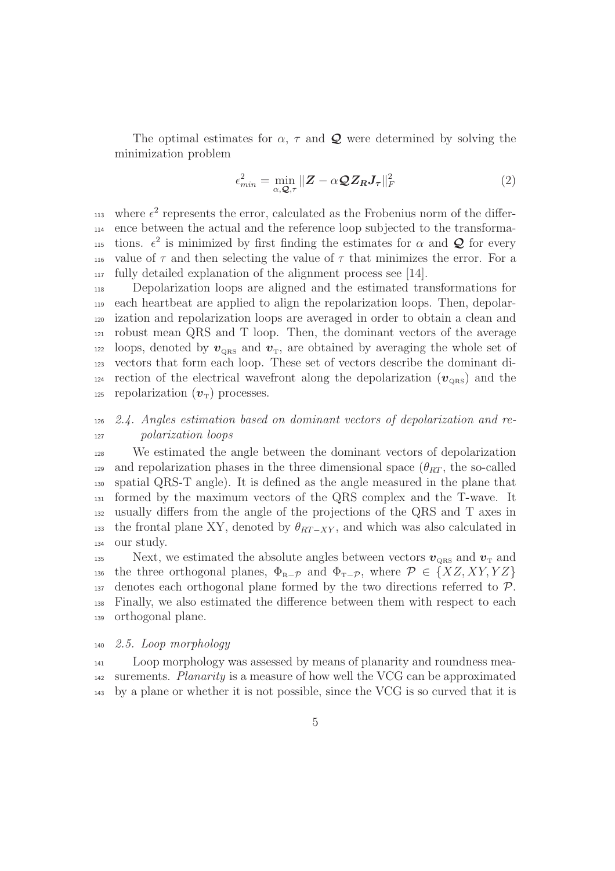The optimal estimates for  $\alpha$ ,  $\tau$  and  $\mathcal Q$  were determined by solving the minimization problem

$$
\epsilon_{\min}^2 = \min_{\alpha, \mathbf{Q}, \tau} \| \mathbf{Z} - \alpha \mathbf{Q} \mathbf{Z}_R \mathbf{J}_\tau \|_F^2 \tag{2}
$$

113 where  $\epsilon^2$  represents the error, calculated as the Frobenius norm of the differ-<sup>114</sup> ence between the actual and the reference loop subjected to the transforma-115 tions.  $\epsilon^2$  is minimized by first finding the estimates for  $\alpha$  and  $\mathcal Q$  for every 116 value of  $\tau$  and then selecting the value of  $\tau$  that minimizes the error. For a <sup>117</sup> fully detailed explanation of the alignment process see [14].

 Depolarization loops are aligned and the estimated transformations for each heartbeat are applied to align the repolarization loops. Then, depolar- ization and repolarization loops are averaged in order to obtain a clean and robust mean QRS and T loop. Then, the dominant vectors of the average loops, denoted by  $v_{\text{QRS}}$  and  $v_{\text{T}}$ , are obtained by averaging the whole set of vectors that form each loop. These set of vectors describe the dominant di-<sup>124</sup> rection of the electrical wavefront along the depolarization  $(v_{\text{ORS}})$  and the 125 repolarization  $(v<sub>T</sub>)$  processes.

# <sup>126</sup> *2.4. Angles estimation based on dominant vectors of depolarization and re-*<sup>127</sup> *polarization loops*

 We estimated the angle between the dominant vectors of depolarization 129 and repolarization phases in the three dimensional space  $(\theta_{RT},$  the so-called spatial QRS-T angle). It is defined as the angle measured in the plane that formed by the maximum vectors of the QRS complex and the T-wave. It usually differs from the angle of the projections of the QRS and T axes in 133 the frontal plane XY, denoted by  $\theta_{RT-XY}$ , and which was also calculated in our study.

135 Next, we estimated the absolute angles between vectors  $v_{\text{QRS}}$  and  $v_{\text{T}}$  and 136 the three orthogonal planes,  $\Phi_{R-p}$  and  $\Phi_{T-p}$ , where  $\mathcal{P} \in \{XZ, XY, YZ\}$  $137$  denotes each orthogonal plane formed by the two directions referred to  $P$ . <sup>138</sup> Finally, we also estimated the difference between them with respect to each <sup>139</sup> orthogonal plane.

#### <sup>140</sup> *2.5. Loop morphology*

<sup>141</sup> Loop morphology was assessed by means of planarity and roundness mea-<sup>142</sup> surements. *Planarity* is a measure of how well the VCG can be approximated <sup>143</sup> by a plane or whether it is not possible, since the VCG is so curved that it is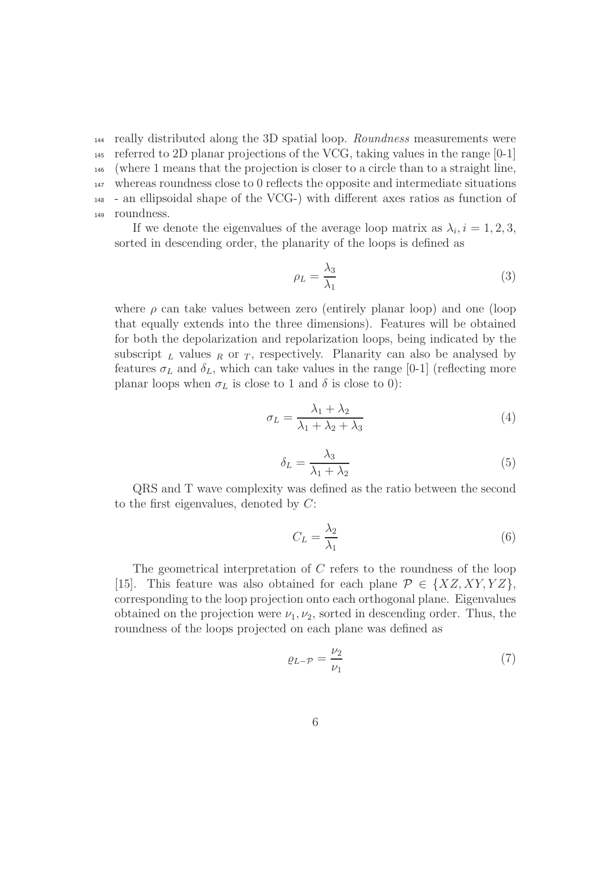really distributed along the 3D spatial loop. *Roundness* measurements were referred to 2D planar projections of the VCG, taking values in the range [0-1] (where 1 means that the projection is closer to a circle than to a straight line, whereas roundness close to 0 reflects the opposite and intermediate situations - an ellipsoidal shape of the VCG-) with different axes ratios as function of roundness.

If we denote the eigenvalues of the average loop matrix as  $\lambda_i, i = 1, 2, 3$ , sorted in descending order, the planarity of the loops is defined as

$$
\rho_L = \frac{\lambda_3}{\lambda_1} \tag{3}
$$

where  $\rho$  can take values between zero (entirely planar loop) and one (loop that equally extends into the three dimensions). Features will be obtained for both the depolarization and repolarization loops, being indicated by the subscript  $L$  values  $R$  or  $T$ , respectively. Planarity can also be analysed by features  $\sigma_L$  and  $\delta_L$ , which can take values in the range [0-1] (reflecting more planar loops when  $\sigma_L$  is close to 1 and  $\delta$  is close to 0):

$$
\sigma_L = \frac{\lambda_1 + \lambda_2}{\lambda_1 + \lambda_2 + \lambda_3} \tag{4}
$$

$$
\delta_L = \frac{\lambda_3}{\lambda_1 + \lambda_2} \tag{5}
$$

QRS and T wave complexity was defined as the ratio between the second to the first eigenvalues, denoted by C:

$$
C_L = \frac{\lambda_2}{\lambda_1} \tag{6}
$$

The geometrical interpretation of C refers to the roundness of the loop [15]. This feature was also obtained for each plane  $\mathcal{P} \in \{XZ, XY, YZ\},\$ corresponding to the loop projection onto each orthogonal plane. Eigenvalues obtained on the projection were  $\nu_1, \nu_2$ , sorted in descending order. Thus, the roundness of the loops projected on each plane was defined as

$$
\varrho_{L-\mathcal{P}} = \frac{\nu_2}{\nu_1} \tag{7}
$$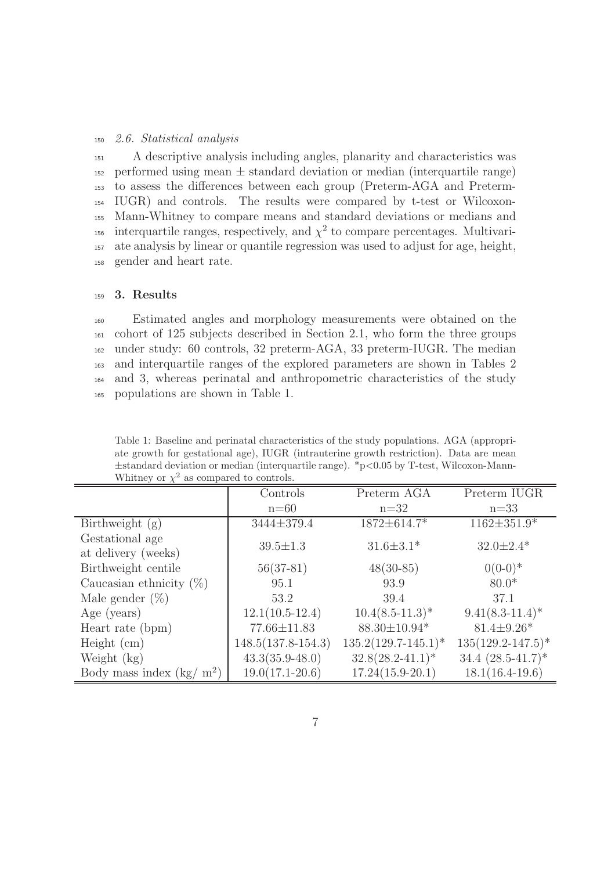#### <sup>150</sup> *2.6. Statistical analysis*

 A descriptive analysis including angles, planarity and characteristics was 152 performed using mean  $\pm$  standard deviation or median (interquartile range) to assess the differences between each group (Preterm-AGA and Preterm- IUGR) and controls. The results were compared by t-test or Wilcoxon- Mann-Whitney to compare means and standard deviations or medians and 156 interquartile ranges, respectively, and  $\chi^2$  to compare percentages. Multivari- ate analysis by linear or quantile regression was used to adjust for age, height, gender and heart rate.

## <sup>159</sup> 3. Results

 Estimated angles and morphology measurements were obtained on the cohort of 125 subjects described in Section 2.1, who form the three groups under study: 60 controls, 32 preterm-AGA, 33 preterm-IUGR. The median and interquartile ranges of the explored parameters are shown in Tables 2 and 3, whereas perinatal and anthropometric characteristics of the study populations are shown in Table 1.

Table 1: Baseline and perinatal characteristics of the study populations. AGA (appropriate growth for gestational age), IUGR (intrauterine growth restriction). Data are mean  $\pm$ standard deviation or median (interquartile range). \*p<0.05 by T-test, Wilcoxon-Mann-Whitney or  $\chi^2$  as compared to controls.

|                                        | Controls             | Preterm AGA            | Preterm IUGR           |
|----------------------------------------|----------------------|------------------------|------------------------|
|                                        | $n=60$               | $n=32$                 | $n=33$                 |
| Birthweight $(g)$                      | 3444±379.4           | 1872±614.7*            | $1162 \pm 351.9*$      |
| Gestational age<br>at delivery (weeks) | $39.5 \pm 1.3$       | $31.6 \pm 3.1*$        | $32.0 \pm 2.4*$        |
| Birthweight centile                    | $56(37-81)$          | $48(30-85)$            | $0(0-0)*$              |
| Caucasian ethnicity $(\%)$             | 95.1                 | 93.9                   | $80.0*$                |
| Male gender $(\%)$                     | 53.2                 | 39.4                   | 37.1                   |
| Age (years)                            | $12.1(10.5-12.4)$    | $10.4(8.5-11.3)^*$     | $9.41(8.3 - 11.4)^*$   |
| Heart rate (bpm)                       | 77.66±11.83          | 88.30±10.94*           | $81.4 \pm 9.26*$       |
| Height (cm)                            | $148.5(137.8-154.3)$ | $135.2(129.7-145.1)^*$ | $135(129.2 - 147.5)^*$ |
| Weight $(kg)$                          | $43.3(35.9 - 48.0)$  | $32.8(28.2 - 41.1)^*$  | 34.4 $(28.5 - 41.7)^*$ |
| Body mass index $(kg/m^2)$             | $19.0(17.1 - 20.6)$  | $17.24(15.9-20.1)$     | $18.1(16.4-19.6)$      |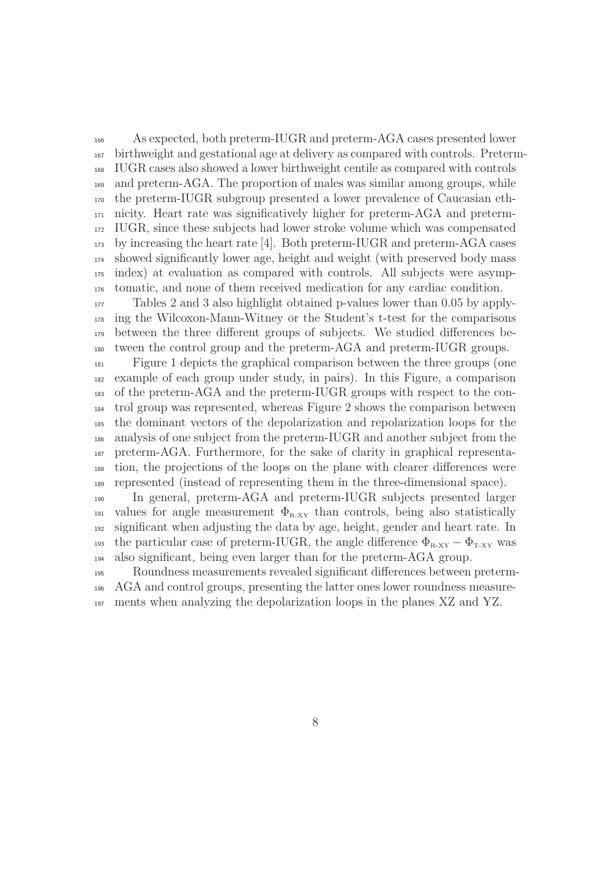As expected, both preterm-IUGR and preterm-AGA cases presented lower birthweight and gestational age at delivery as compared with controls. Preterm- IUGR cases also showed a lower birthweight centile as compared with controls and preterm-AGA. The proportion of males was similar among groups, while the preterm-IUGR subgroup presented a lower prevalence of Caucasian eth- nicity. Heart rate was significatively higher for preterm-AGA and preterm- IUGR, since these subjects had lower stroke volume which was compensated by increasing the heart rate [4]. Both preterm-IUGR and preterm-AGA cases showed significantly lower age, height and weight (with preserved body mass index) at evaluation as compared with controls. All subjects were asymp-tomatic, and none of them received medication for any cardiac condition.

 Tables 2 and 3 also highlight obtained p-values lower than 0.05 by apply- ing the Wilcoxon-Mann-Witney or the Student's t-test for the comparisons between the three different groups of subjects. We studied differences be-tween the control group and the preterm-AGA and preterm-IUGR groups.

 Figure 1 depicts the graphical comparison between the three groups (one example of each group under study, in pairs). In this Figure, a comparison of the preterm-AGA and the preterm-IUGR groups with respect to the con- trol group was represented, whereas Figure 2 shows the comparison between the dominant vectors of the depolarization and repolarization loops for the analysis of one subject from the preterm-IUGR and another subject from the preterm-AGA. Furthermore, for the sake of clarity in graphical representa- tion, the projections of the loops on the plane with clearer differences were represented (instead of representing them in the three-dimensional space).

 In general, preterm-AGA and preterm-IUGR subjects presented larger 191 values for angle measurement  $\Phi_{R-XY}$  than controls, being also statistically significant when adjusting the data by age, height, gender and heart rate. In 193 the particular case of preterm-IUGR, the angle difference  $\Phi_{\text{R-XY}} - \Phi_{\text{T-XY}}$  was also significant, being even larger than for the preterm-AGA group.

 Roundness measurements revealed significant differences between preterm- AGA and control groups, presenting the latter ones lower roundness measure-ments when analyzing the depolarization loops in the planes XZ and YZ.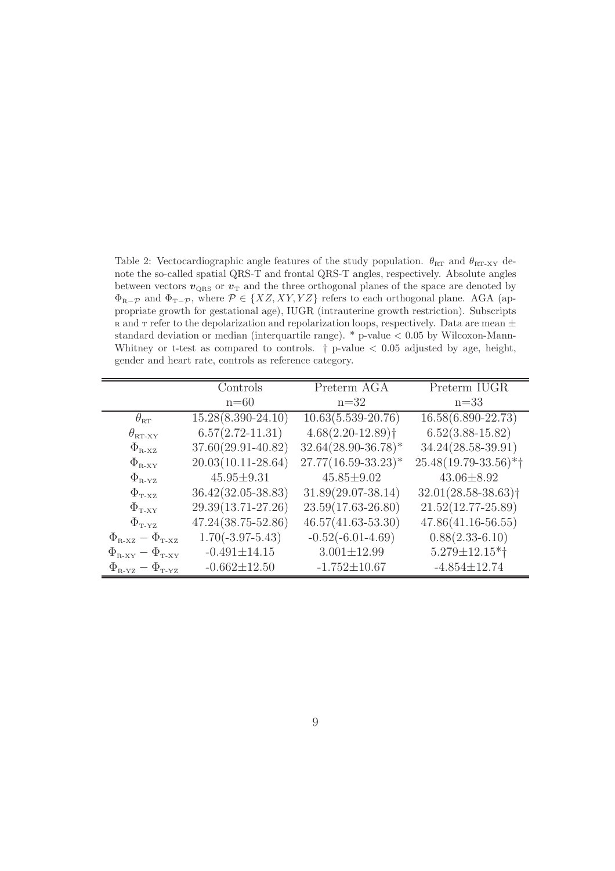Table 2: Vectocardiographic angle features of the study population.  $\theta_{RT}$  and  $\theta_{RT-XY}$  denote the so-called spatial QRS-T and frontal QRS-T angles, respectively. Absolute angles between vectors  $v_{\text{ORS}}$  or  $v_{\text{T}}$  and the three orthogonal planes of the space are denoted by  $\Phi_{R-p}$  and  $\Phi_{T-p}$ , where  $\mathcal{P} \in \{XZ, XY, YZ\}$  refers to each orthogonal plane. AGA (appropriate growth for gestational age), IUGR (intrauterine growth restriction). Subscripts  $R$  and  $T$  refer to the depolarization and repolarization loops, respectively. Data are mean  $\pm$ standard deviation or median (interquartile range). \* p-value < 0.05 by Wilcoxon-Mann-Whitney or t-test as compared to controls.  $\dagger$  p-value  $< 0.05$  adjusted by age, height, gender and heart rate, controls as reference category.

|                                                           | Controls               | Preterm AGA                       | Preterm IUGR                      |
|-----------------------------------------------------------|------------------------|-----------------------------------|-----------------------------------|
|                                                           | $n=60$                 | $n=32$                            | $n=33$                            |
| $\theta_{\textrm{\tiny RT}}$                              | $15.28(8.390-24.10)$   | $10.63(5.539-20.76)$              | 16.58(6.890-22.73)                |
| $\theta_{\text{\tiny RT-XY}}$                             | $6.57(2.72 - 11.31)$   | $4.68(2.20 - 12.89)$ <sup>+</sup> | $6.52(3.88-15.82)$                |
| $\Phi_{\textrm{\tiny R-XX}}$                              | 37.60(29.91-40.82)     | $32.64(28.90-36.78)$ *            | 34.24(28.58-39.91)                |
| $\Phi_{\text{R-XY}}$                                      | $20.03(10.11 - 28.64)$ | $27.77(16.59 - 33.23)^*$          | $25.48(19.79-33.56)*†$            |
| $\Phi_{\text{R-YZ}}$                                      | $45.95 \pm 9.31$       | $45.85 \pm 9.02$                  | $43.06 \pm 8.92$                  |
| $\Phi_{\text{T-XZ}}$                                      | $36.42(32.05-38.83)$   | $31.89(29.07-38.14)$              | $32.01(28.58-38.63)$ <sup>†</sup> |
| $\Phi_{\text{T-XY}}$                                      | 29.39(13.71-27.26)     | $23.59(17.63 - 26.80)$            | $21.52(12.77 - 25.89)$            |
| $\Phi$ <sub>T-YZ</sub>                                    | $47.24(38.75-52.86)$   | $46.57(41.63 - 53.30)$            | $47.86(41.16-56.55)$              |
| $\Phi_{\text{R-XZ}} - \Phi_{\text{T-XZ}}$                 | $1.70(-3.97-5.43)$     | $-0.52(-6.01-4.69)$               | $0.88(2.33-6.10)$                 |
| $\Phi_{\text{R-XY}} - \Phi_{\text{T-XY}}$                 | $-0.491 \pm 14.15$     | $3.001 \pm 12.99$                 | $5.279 \pm 12.15*$ †              |
| $\Phi_{\textrm{\tiny R-YZ}} - \Phi_{\textrm{\tiny T-YZ}}$ | $-0.662 \pm 12.50$     | $-1.752 \pm 10.67$                | $-4.854 \pm 12.74$                |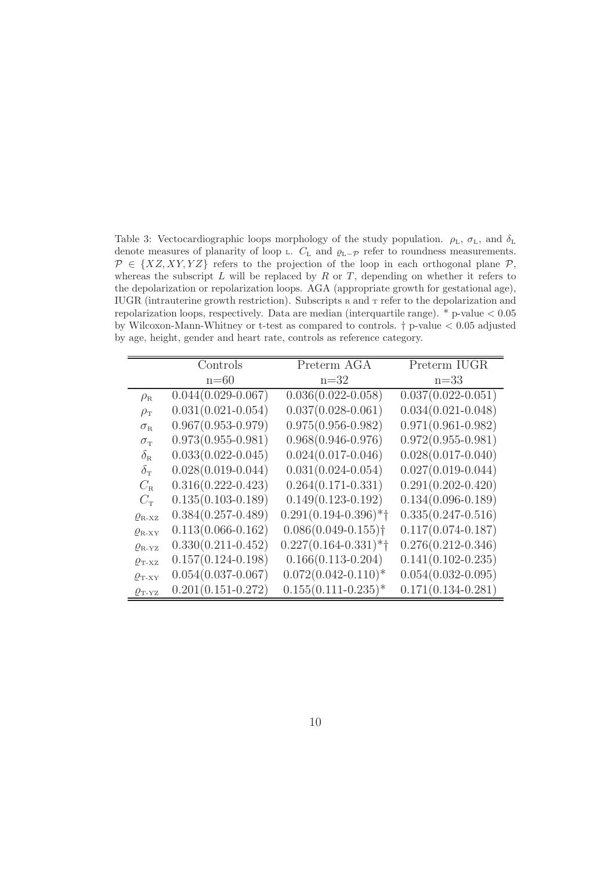Table 3: Vectocardiographic loops morphology of the study population.  $\rho_L$ ,  $\sigma_L$ , and  $\delta_L$ denote measures of planarity of loop  $\text{L}$ .  $C_{\text{L}}$  and  $\rho_{\text{L}-\mathcal{P}}$  refer to roundness measurements.  $\mathcal{P} \in \{XZ, XY, YZ\}$  refers to the projection of the loop in each orthogonal plane  $\mathcal{P}$ , whereas the subscript  $L$  will be replaced by  $R$  or  $T$ , depending on whether it refers to the depolarization or repolarization loops. AGA (appropriate growth for gestational age), IUGR (intrauterine growth restriction). Subscripts  $R$  and  $T$  refer to the depolarization and repolarization loops, respectively. Data are median (interquartile range). \* p-value < 0.05 by Wilcoxon-Mann-Whitney or t-test as compared to controls. † p-value < 0.05 adjusted by age, height, gender and heart rate, controls as reference category.

|                                 | Controls               | Preterm AGA                         | Preterm IUGR           |
|---------------------------------|------------------------|-------------------------------------|------------------------|
|                                 | $n=60$                 | $n=32$                              | $n=33$                 |
| $\rho_{\rm R}$                  | $0.044(0.029 - 0.067)$ | $0.036(0.022 - 0.058)$              | $0.037(0.022 - 0.051)$ |
| $\rho_{\rm T}$                  | $0.031(0.021 - 0.054)$ | $0.037(0.028 - 0.061)$              | $0.034(0.021 - 0.048)$ |
| $\sigma_{\textrm{\tiny R}}$     | $0.967(0.953 - 0.979)$ | $0.975(0.956 - 0.982)$              | $0.971(0.961 - 0.982)$ |
| $\sigma_{\textrm{\tiny T}}$     | $0.973(0.955 - 0.981)$ | $0.968(0.946 - 0.976)$              | $0.972(0.955 - 0.981)$ |
| $\delta_{\textrm{\tiny R}}$     | $0.033(0.022 - 0.045)$ | $0.024(0.017-0.046)$                | $0.028(0.017 - 0.040)$ |
| $\delta_{\rm T}$                | $0.028(0.019-0.044)$   | $0.031(0.024 - 0.054)$              | $0.027(0.019 - 0.044)$ |
| $C_{\rm R}$                     | $0.316(0.222 - 0.423)$ | $0.264(0.171-0.331)$                | $0.291(0.202 - 0.420)$ |
| $C_{\rm T}$                     | $0.135(0.103 - 0.189)$ | $0.149(0.123 - 0.192)$              | $0.134(0.096 - 0.189)$ |
| $\rho_{\rm B-XZ}$               | $0.384(0.257-0.489)$   | $0.291(0.194 - 0.396)$ *†           | $0.335(0.247-0.516)$   |
| $\rho_{\text{\tiny R-XY}}$      | $0.113(0.066 - 0.162)$ | $0.086(0.049 - 0.155)$ <sup>†</sup> | $0.117(0.074 - 0.187)$ |
| $\rho_{\text{R-YZ}}$            | $0.330(0.211 - 0.452)$ | $0.227(0.164 - 0.331)$ *†           | $0.276(0.212 - 0.346)$ |
| $\rho_{\text{T-XZ}}$            | $0.157(0.124 - 0.198)$ | $0.166(0.113 - 0.204)$              | $0.141(0.102 - 0.235)$ |
| $\rho_{\text{T-XY}}$            | $0.054(0.037-0.067)$   | $0.072(0.042 - 0.110)^*$            | $0.054(0.032 - 0.095)$ |
| $\varrho_{\textrm{\tiny T-YZ}}$ | $0.201(0.151-0.272)$   | $0.155(0.111-0.235)*$               | $0.171(0.134 - 0.281)$ |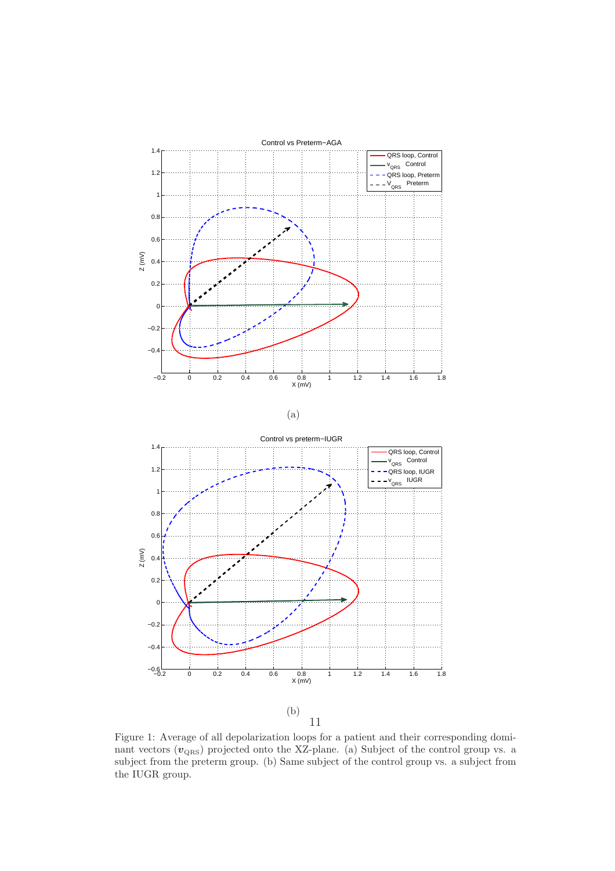

(b) 11

Figure 1: Average of all depolarization loops for a patient and their corresponding dominant vectors  $(v_{\text{QRS}})$  projected onto the XZ-plane. (a) Subject of the control group vs. a subject from the preterm group. (b) Same subject of the control group vs. a subject from the IUGR group.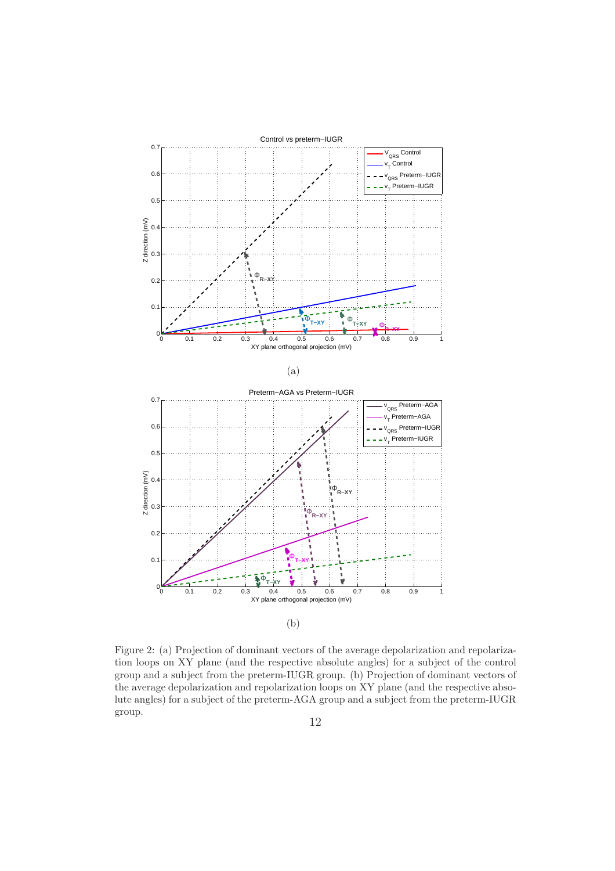

Figure 2: (a) Projection of dominant vectors of the average depolarization and repolarization loops on XY plane (and the respective absolute angles) for a subject of the control group and a subject from the preterm-IUGR group. (b) Projection of dominant vectors of the average depolarization and repolarization loops on XY plane (and the respective absolute angles) for a subject of the preterm-AGA group and a subject from the preterm-IUGR group.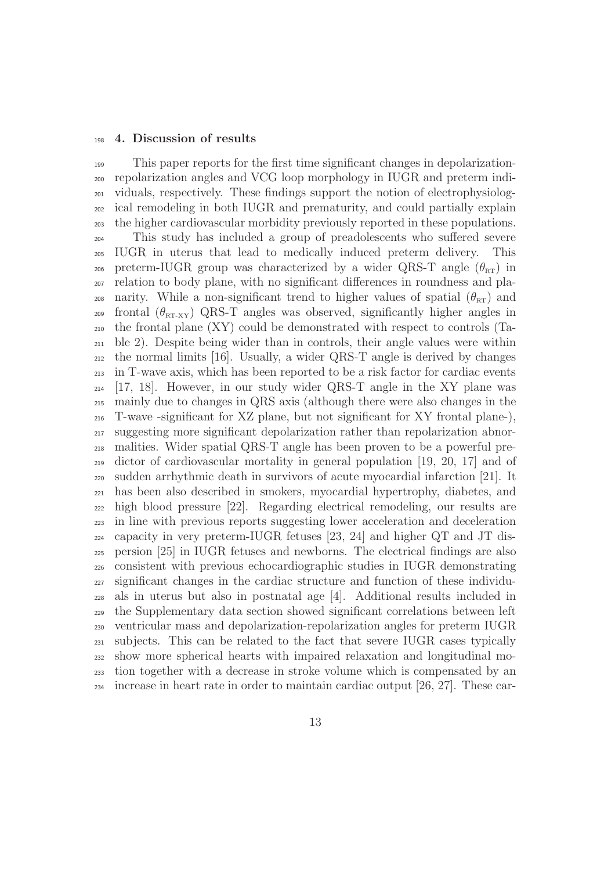#### 4. Discussion of results

 This paper reports for the first time significant changes in depolarization- repolarization angles and VCG loop morphology in IUGR and preterm indi- viduals, respectively. These findings support the notion of electrophysiolog- ical remodeling in both IUGR and prematurity, and could partially explain the higher cardiovascular morbidity previously reported in these populations. This study has included a group of preadolescents who suffered severe IUGR in uterus that lead to medically induced preterm delivery. This 206 preterm-IUGR group was characterized by a wider QRS-T angle  $(\theta_{\text{RT}})$  in relation to body plane, with no significant differences in roundness and pla-208 narity. While a non-significant trend to higher values of spatial  $(\theta_{\text{RT}})$  and <sup>209</sup> frontal ( $\theta_{RT-XY}$ ) QRS-T angles was observed, significantly higher angles in the frontal plane (XY) could be demonstrated with respect to controls (Ta- ble 2). Despite being wider than in controls, their angle values were within the normal limits [16]. Usually, a wider QRS-T angle is derived by changes in T-wave axis, which has been reported to be a risk factor for cardiac events [17, 18]. However, in our study wider QRS-T angle in the XY plane was mainly due to changes in QRS axis (although there were also changes in the T-wave -significant for XZ plane, but not significant for XY frontal plane-), suggesting more significant depolarization rather than repolarization abnor- malities. Wider spatial QRS-T angle has been proven to be a powerful pre- dictor of cardiovascular mortality in general population [19, 20, 17] and of sudden arrhythmic death in survivors of acute myocardial infarction [21]. It has been also described in smokers, myocardial hypertrophy, diabetes, and high blood pressure [22]. Regarding electrical remodeling, our results are in line with previous reports suggesting lower acceleration and deceleration capacity in very preterm-IUGR fetuses [23, 24] and higher QT and JT dis- persion [25] in IUGR fetuses and newborns. The electrical findings are also consistent with previous echocardiographic studies in IUGR demonstrating significant changes in the cardiac structure and function of these individu- als in uterus but also in postnatal age [4]. Additional results included in the Supplementary data section showed significant correlations between left ventricular mass and depolarization-repolarization angles for preterm IUGR subjects. This can be related to the fact that severe IUGR cases typically show more spherical hearts with impaired relaxation and longitudinal mo- tion together with a decrease in stroke volume which is compensated by an increase in heart rate in order to maintain cardiac output [26, 27]. These car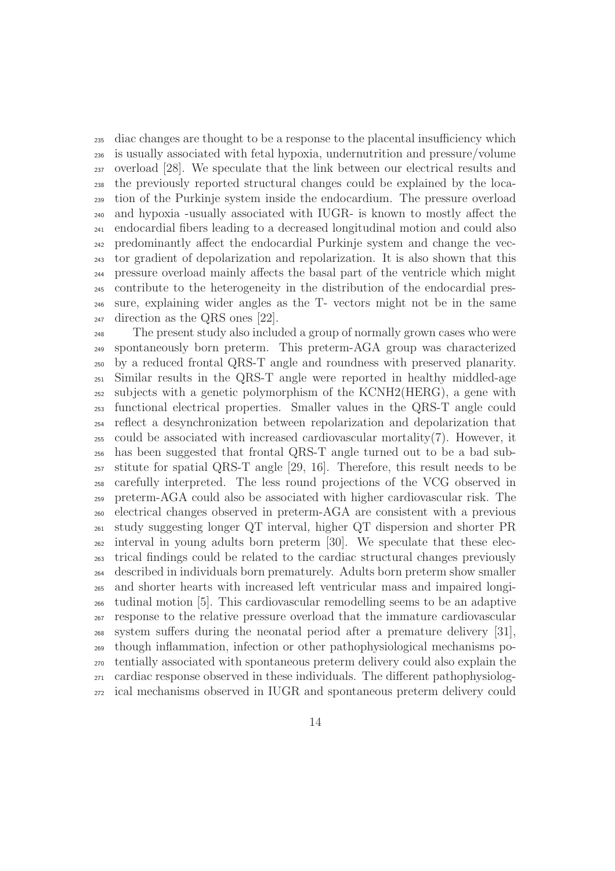diac changes are thought to be a response to the placental insufficiency which is usually associated with fetal hypoxia, undernutrition and pressure/volume overload [28]. We speculate that the link between our electrical results and the previously reported structural changes could be explained by the loca- tion of the Purkinje system inside the endocardium. The pressure overload and hypoxia -usually associated with IUGR- is known to mostly affect the endocardial fibers leading to a decreased longitudinal motion and could also predominantly affect the endocardial Purkinje system and change the vec- tor gradient of depolarization and repolarization. It is also shown that this pressure overload mainly affects the basal part of the ventricle which might contribute to the heterogeneity in the distribution of the endocardial pres- sure, explaining wider angles as the T- vectors might not be in the same direction as the QRS ones [22].

 The present study also included a group of normally grown cases who were spontaneously born preterm. This preterm-AGA group was characterized by a reduced frontal QRS-T angle and roundness with preserved planarity. Similar results in the QRS-T angle were reported in healthy middled-age subjects with a genetic polymorphism of the KCNH2(HERG), a gene with functional electrical properties. Smaller values in the QRS-T angle could reflect a desynchronization between repolarization and depolarization that could be associated with increased cardiovascular mortality(7). However, it has been suggested that frontal QRS-T angle turned out to be a bad sub- stitute for spatial QRS-T angle [29, 16]. Therefore, this result needs to be carefully interpreted. The less round projections of the VCG observed in preterm-AGA could also be associated with higher cardiovascular risk. The electrical changes observed in preterm-AGA are consistent with a previous study suggesting longer QT interval, higher QT dispersion and shorter PR interval in young adults born preterm [30]. We speculate that these elec- trical findings could be related to the cardiac structural changes previously described in individuals born prematurely. Adults born preterm show smaller and shorter hearts with increased left ventricular mass and impaired longi- tudinal motion [5]. This cardiovascular remodelling seems to be an adaptive response to the relative pressure overload that the immature cardiovascular system suffers during the neonatal period after a premature delivery [31], though inflammation, infection or other pathophysiological mechanisms po- tentially associated with spontaneous preterm delivery could also explain the cardiac response observed in these individuals. The different pathophysiolog-ical mechanisms observed in IUGR and spontaneous preterm delivery could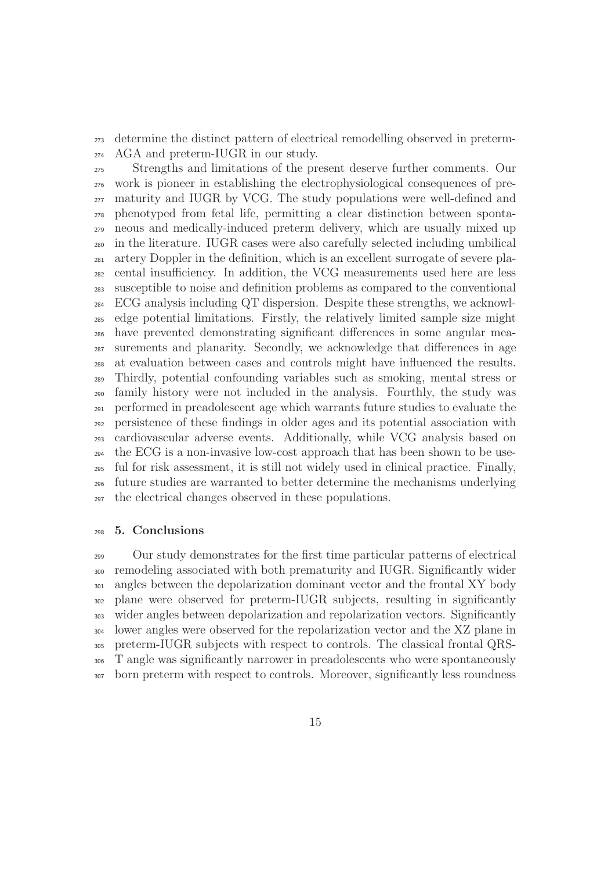determine the distinct pattern of electrical remodelling observed in preterm-AGA and preterm-IUGR in our study.

 Strengths and limitations of the present deserve further comments. Our work is pioneer in establishing the electrophysiological consequences of pre- maturity and IUGR by VCG. The study populations were well-defined and phenotyped from fetal life, permitting a clear distinction between sponta- neous and medically-induced preterm delivery, which are usually mixed up in the literature. IUGR cases were also carefully selected including umbilical artery Doppler in the definition, which is an excellent surrogate of severe pla- cental insufficiency. In addition, the VCG measurements used here are less susceptible to noise and definition problems as compared to the conventional ECG analysis including QT dispersion. Despite these strengths, we acknowl- edge potential limitations. Firstly, the relatively limited sample size might have prevented demonstrating significant differences in some angular mea- surements and planarity. Secondly, we acknowledge that differences in age at evaluation between cases and controls might have influenced the results. Thirdly, potential confounding variables such as smoking, mental stress or family history were not included in the analysis. Fourthly, the study was performed in preadolescent age which warrants future studies to evaluate the persistence of these findings in older ages and its potential association with cardiovascular adverse events. Additionally, while VCG analysis based on the ECG is a non-invasive low-cost approach that has been shown to be use- ful for risk assessment, it is still not widely used in clinical practice. Finally, future studies are warranted to better determine the mechanisms underlying the electrical changes observed in these populations.

### 5. Conclusions

 Our study demonstrates for the first time particular patterns of electrical remodeling associated with both prematurity and IUGR. Significantly wider <sup>301</sup> angles between the depolarization dominant vector and the frontal XY body plane were observed for preterm-IUGR subjects, resulting in significantly wider angles between depolarization and repolarization vectors. Significantly lower angles were observed for the repolarization vector and the XZ plane in preterm-IUGR subjects with respect to controls. The classical frontal QRS- T angle was significantly narrower in preadolescents who were spontaneously born preterm with respect to controls. Moreover, significantly less roundness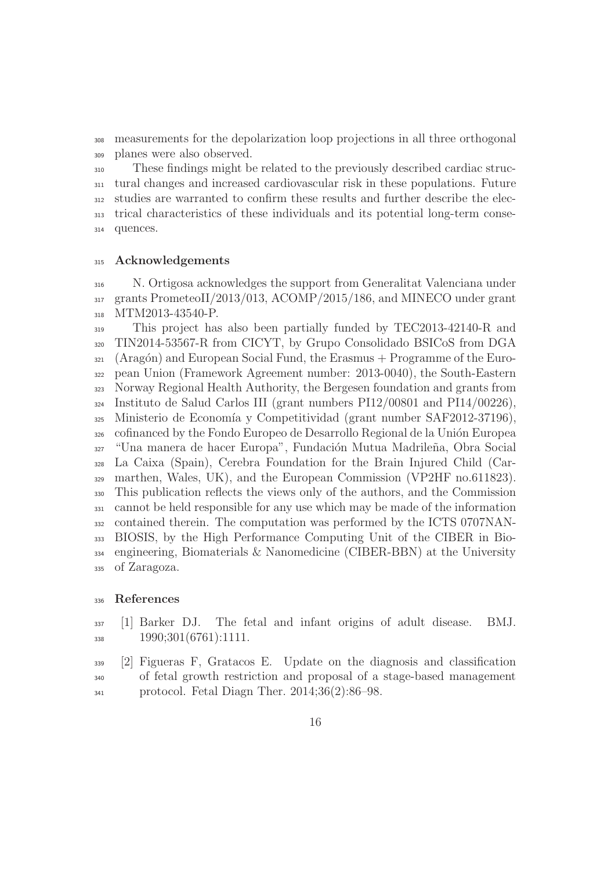measurements for the depolarization loop projections in all three orthogonal planes were also observed.

 These findings might be related to the previously described cardiac struc- tural changes and increased cardiovascular risk in these populations. Future studies are warranted to confirm these results and further describe the elec- trical characteristics of these individuals and its potential long-term conse-quences.

#### 315 Acknowledgements

 N. Ortigosa acknowledges the support from Generalitat Valenciana under grants PrometeoII/2013/013, ACOMP/2015/186, and MINECO under grant 318 MTM2013-43540-P.

 This project has also been partially funded by TEC2013-42140-R and TIN2014-53567-R from CICYT, by Grupo Consolidado BSICoS from DGA (Aragón) and European Social Fund, the Erasmus + Programme of the Euro- pean Union (Framework Agreement number: 2013-0040), the South-Eastern Norway Regional Health Authority, the Bergesen foundation and grants from Instituto de Salud Carlos III (grant numbers PI12/00801 and PI14/00226), 325 Ministerio de Economía y Competitividad (grant number SAF2012-37196), <sup>326</sup> cofinanced by the Fondo Europeo de Desarrollo Regional de la Unión Europea <sup>327</sup> "Una manera de hacer Europa", Fundación Mutua Madrileña, Obra Social La Caixa (Spain), Cerebra Foundation for the Brain Injured Child (Car- marthen, Wales, UK), and the European Commission (VP2HF no.611823). This publication reflects the views only of the authors, and the Commission cannot be held responsible for any use which may be made of the information contained therein. The computation was performed by the ICTS 0707NAN- BIOSIS, by the High Performance Computing Unit of the CIBER in Bio- engineering, Biomaterials & Nanomedicine (CIBER-BBN) at the University of Zaragoza.

# References

- [1] Barker DJ. The fetal and infant origins of adult disease. BMJ. 338 1990;301(6761):1111.
- [2] Figueras F, Gratacos E. Update on the diagnosis and classification of fetal growth restriction and proposal of a stage-based management protocol. Fetal Diagn Ther. 2014;36(2):86–98.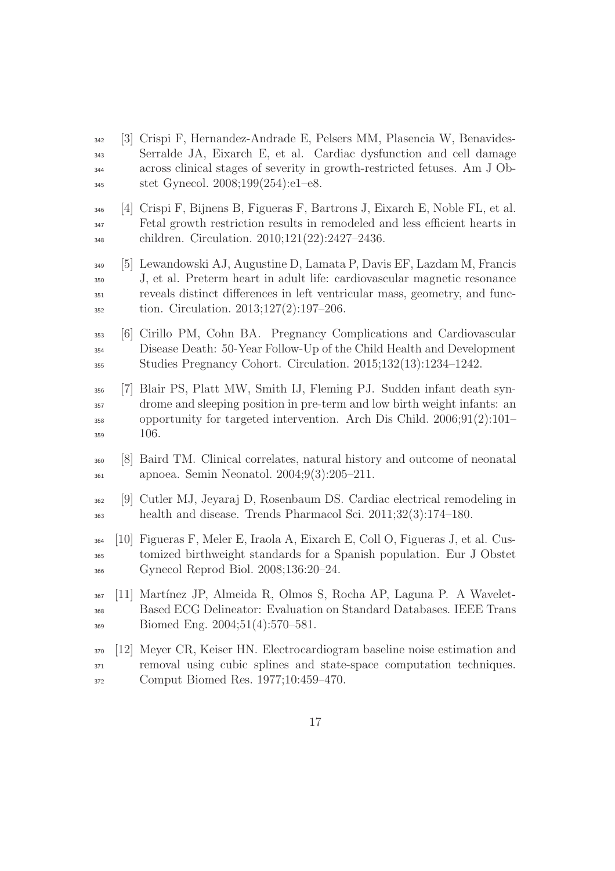- [3] Crispi F, Hernandez-Andrade E, Pelsers MM, Plasencia W, Benavides- Serralde JA, Eixarch E, et al. Cardiac dysfunction and cell damage across clinical stages of severity in growth-restricted fetuses. Am J Ob-stet Gynecol. 2008;199(254):e1–e8.
- [4] Crispi F, Bijnens B, Figueras F, Bartrons J, Eixarch E, Noble FL, et al. Fetal growth restriction results in remodeled and less efficient hearts in children. Circulation. 2010;121(22):2427–2436.
- [5] Lewandowski AJ, Augustine D, Lamata P, Davis EF, Lazdam M, Francis J, et al. Preterm heart in adult life: cardiovascular magnetic resonance reveals distinct differences in left ventricular mass, geometry, and func-tion. Circulation. 2013;127(2):197–206.
- [6] Cirillo PM, Cohn BA. Pregnancy Complications and Cardiovascular Disease Death: 50-Year Follow-Up of the Child Health and Development Studies Pregnancy Cohort. Circulation. 2015;132(13):1234–1242.
- [7] Blair PS, Platt MW, Smith IJ, Fleming PJ. Sudden infant death syn- drome and sleeping position in pre-term and low birth weight infants: an opportunity for targeted intervention. Arch Dis Child. 2006;91(2):101– 106.
- [8] Baird TM. Clinical correlates, natural history and outcome of neonatal apnoea. Semin Neonatol. 2004;9(3):205–211.
- [9] Cutler MJ, Jeyaraj D, Rosenbaum DS. Cardiac electrical remodeling in health and disease. Trends Pharmacol Sci. 2011;32(3):174–180.
- [10] Figueras F, Meler E, Iraola A, Eixarch E, Coll O, Figueras J, et al. Cus- tomized birthweight standards for a Spanish population. Eur J Obstet Gynecol Reprod Biol. 2008;136:20–24.
- [11] Mart´ınez JP, Almeida R, Olmos S, Rocha AP, Laguna P. A Wavelet- Based ECG Delineator: Evaluation on Standard Databases. IEEE Trans Biomed Eng. 2004;51(4):570–581.
- [12] Meyer CR, Keiser HN. Electrocardiogram baseline noise estimation and removal using cubic splines and state-space computation techniques. Comput Biomed Res. 1977;10:459–470.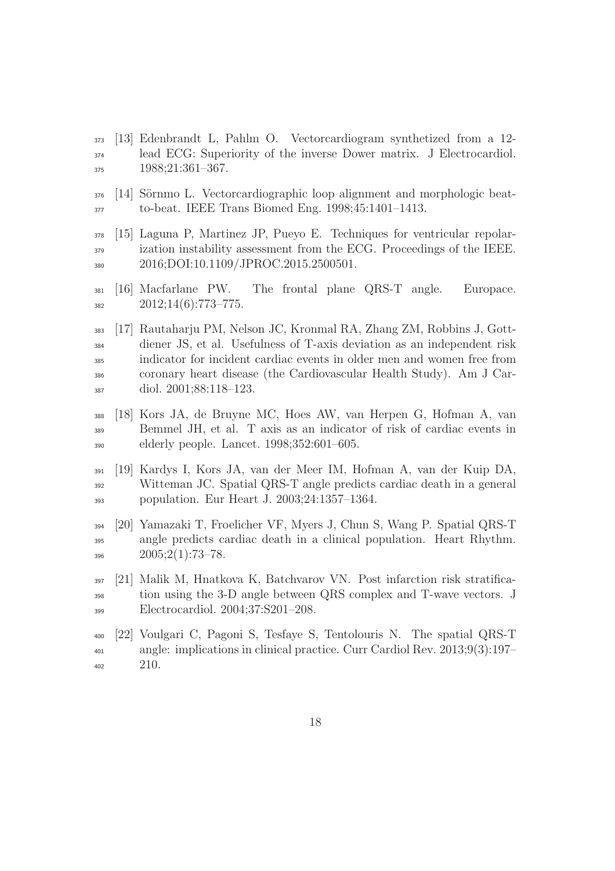- [13] Edenbrandt L, Pahlm O. Vectorcardiogram synthetized from a 12- lead ECG: Superiority of the inverse Dower matrix. J Electrocardiol. 1988;21:361–367.
- 376 [14] Sörnmo L. Vectorcardiographic loop alignment and morphologic beat-to-beat. IEEE Trans Biomed Eng. 1998;45:1401–1413.
- [15] Laguna P, Martinez JP, Pueyo E. Techniques for ventricular repolar- ization instability assessment from the ECG. Proceedings of the IEEE. 2016;DOI:10.1109/JPROC.2015.2500501.
- [16] Macfarlane PW. The frontal plane QRS-T angle. Europace.  $382 \hspace{1.5cm} 2012;14(6):773-775.$
- [17] Rautaharju PM, Nelson JC, Kronmal RA, Zhang ZM, Robbins J, Gott- diener JS, et al. Usefulness of T-axis deviation as an independent risk indicator for incident cardiac events in older men and women free from coronary heart disease (the Cardiovascular Health Study). Am J Car-diol. 2001;88:118–123.
- [18] Kors JA, de Bruyne MC, Hoes AW, van Herpen G, Hofman A, van Bemmel JH, et al. T axis as an indicator of risk of cardiac events in elderly people. Lancet. 1998;352:601–605.
- [19] Kardys I, Kors JA, van der Meer IM, Hofman A, van der Kuip DA, Witteman JC. Spatial QRS-T angle predicts cardiac death in a general population. Eur Heart J. 2003;24:1357–1364.
- [20] Yamazaki T, Froelicher VF, Myers J, Chun S, Wang P. Spatial QRS-T angle predicts cardiac death in a clinical population. Heart Rhythm.  $396 \hspace{1.5cm} 2005;2(1):73-78.$
- [21] Malik M, Hnatkova K, Batchvarov VN. Post infarction risk stratifica- tion using the 3-D angle between QRS complex and T-wave vectors. J Electrocardiol. 2004;37:S201–208.
- [22] Voulgari C, Pagoni S, Tesfaye S, Tentolouris N. The spatial QRS-T angle: implications in clinical practice. Curr Cardiol Rev. 2013;9(3):197– 210.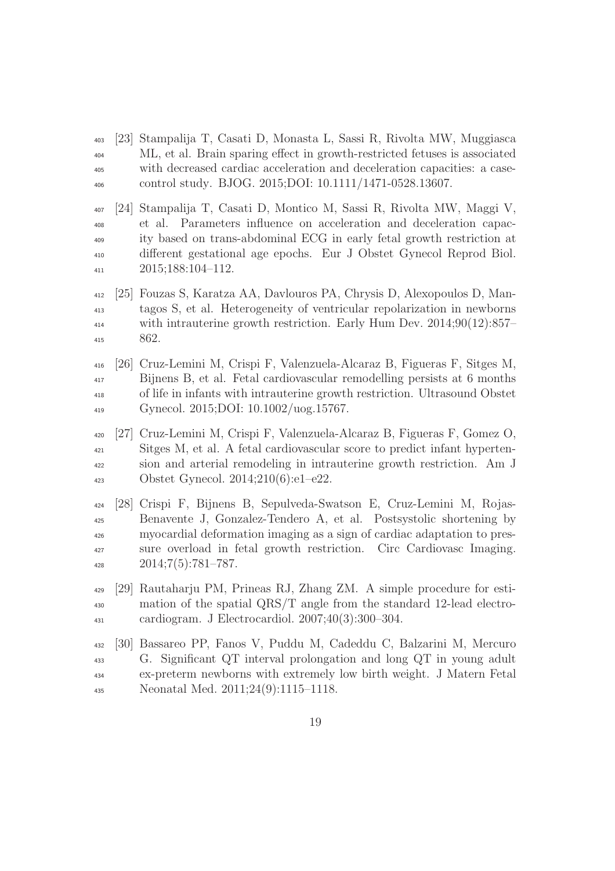- [23] Stampalija T, Casati D, Monasta L, Sassi R, Rivolta MW, Muggiasca ML, et al. Brain sparing effect in growth-restricted fetuses is associated with decreased cardiac acceleration and deceleration capacities: a case-control study. BJOG. 2015;DOI: 10.1111/1471-0528.13607.
- [24] Stampalija T, Casati D, Montico M, Sassi R, Rivolta MW, Maggi V, et al. Parameters influence on acceleration and deceleration capac- ity based on trans-abdominal ECG in early fetal growth restriction at different gestational age epochs. Eur J Obstet Gynecol Reprod Biol. 2015;188:104–112.
- [25] Fouzas S, Karatza AA, Davlouros PA, Chrysis D, Alexopoulos D, Man- tagos S, et al. Heterogeneity of ventricular repolarization in newborns <sup>414</sup> with intrauterine growth restriction. Early Hum Dev. 2014;90(12):857– 862.
- [26] Cruz-Lemini M, Crispi F, Valenzuela-Alcaraz B, Figueras F, Sitges M, Bijnens B, et al. Fetal cardiovascular remodelling persists at 6 months of life in infants with intrauterine growth restriction. Ultrasound Obstet Gynecol. 2015;DOI: 10.1002/uog.15767.
- [27] Cruz-Lemini M, Crispi F, Valenzuela-Alcaraz B, Figueras F, Gomez O, Sitges M, et al. A fetal cardiovascular score to predict infant hyperten- sion and arterial remodeling in intrauterine growth restriction. Am J Obstet Gynecol. 2014;210(6):e1–e22.
- [28] Crispi F, Bijnens B, Sepulveda-Swatson E, Cruz-Lemini M, Rojas- Benavente J, Gonzalez-Tendero A, et al. Postsystolic shortening by myocardial deformation imaging as a sign of cardiac adaptation to pres- sure overload in fetal growth restriction. Circ Cardiovasc Imaging.  $2014;7(5):781-787.$
- [29] Rautaharju PM, Prineas RJ, Zhang ZM. A simple procedure for esti- mation of the spatial QRS/T angle from the standard 12-lead electro-cardiogram. J Electrocardiol. 2007;40(3):300–304.
- [30] Bassareo PP, Fanos V, Puddu M, Cadeddu C, Balzarini M, Mercuro G. Significant QT interval prolongation and long QT in young adult ex-preterm newborns with extremely low birth weight. J Matern Fetal Neonatal Med. 2011;24(9):1115–1118.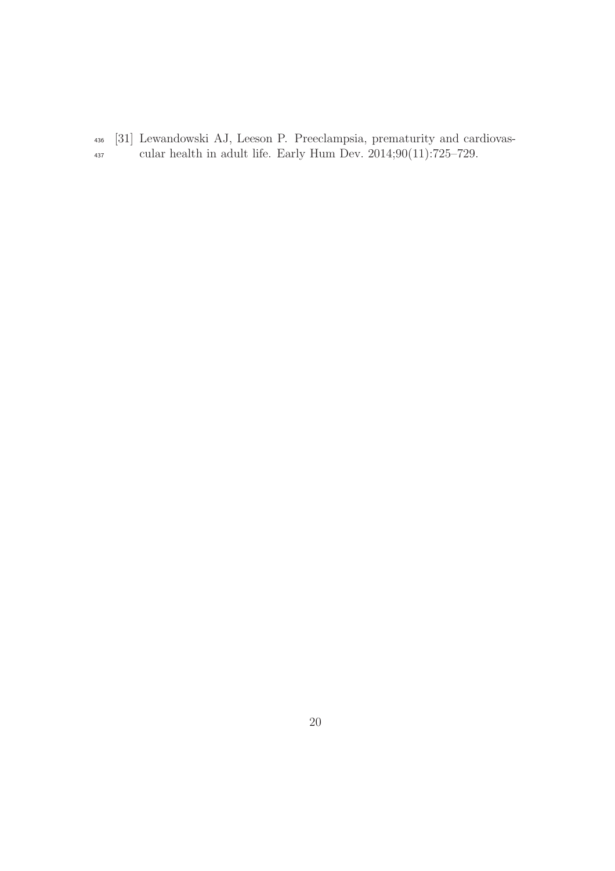[31] Lewandowski AJ, Leeson P. Preeclampsia, prematurity and cardiovas-cular health in adult life. Early Hum Dev. 2014;90(11):725–729.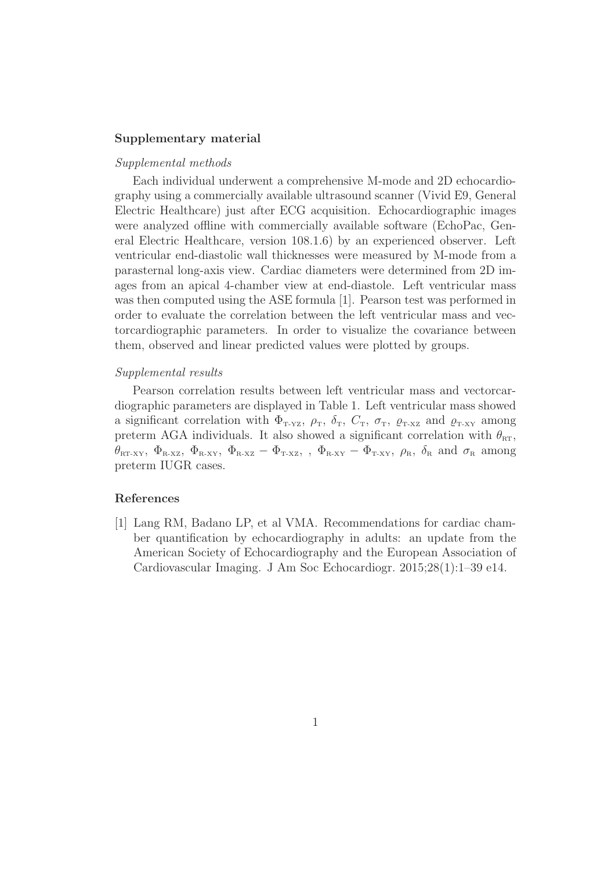#### Supplementary material

# Supplemental methods

Each individual underwent a comprehensive M-mode and 2D echocardiography using a commercially available ultrasound scanner (Vivid E9, General Electric Healthcare) just after ECG acquisition. Echocardiographic images were analyzed offline with commercially available software (EchoPac, General Electric Healthcare, version 108.1.6) by an experienced observer. Left ventricular end-diastolic wall thicknesses were measured by M-mode from a parasternal long-axis view. Cardiac diameters were determined from 2D images from an apical 4-chamber view at end-diastole. Left ventricular mass was then computed using the ASE formula [1]. Pearson test was performed in order to evaluate the correlation between the left ventricular mass and vectorcardiographic parameters. In order to visualize the covariance between them, observed and linear predicted values were plotted by groups.

## Supplemental results

Pearson correlation results between left ventricular mass and vectorcardiographic parameters are displayed in Table 1. Left ventricular mass showed a significant correlation with  $\Phi_{T-YZ}$ ,  $\rho_T$ ,  $\delta_T$ ,  $C_T$ ,  $\sigma_T$ ,  $\varrho_{T-XZ}$  and  $\varrho_{T-XY}$  among preterm AGA individuals. It also showed a significant correlation with  $\theta_{\text{RT}}$ ,  $\theta_{\text{\tiny RT-XY}},~\Phi_{\text{\tiny R-XZ}},~\Phi_{\text{\tiny R-XY}},~\Phi_{\text{\tiny R-XZ}}$  ,  $\Phi_{\text{\tiny T-XX}}$  ,  $\Phi_{\text{\tiny R-XY}}$  ,  $\theta_{\text{\tiny R}}$  ,  $\delta_{\text{\tiny R}}$  and  $\sigma_{\text{\tiny R}}$  among preterm IUGR cases.

# References

[1] Lang RM, Badano LP, et al VMA. Recommendations for cardiac chamber quantification by echocardiography in adults: an update from the American Society of Echocardiography and the European Association of Cardiovascular Imaging. J Am Soc Echocardiogr. 2015;28(1):1–39 e14.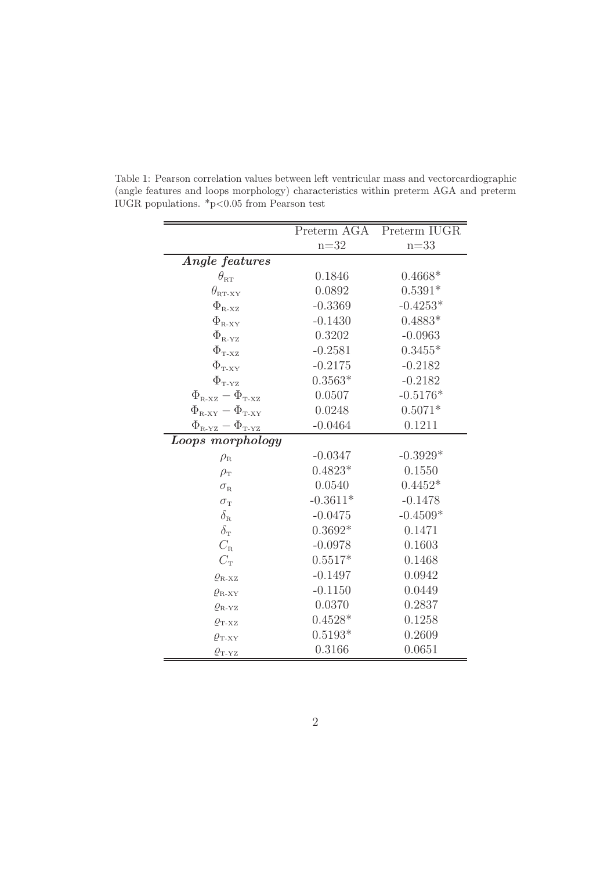|                                                           | Preterm AGA | Preterm IUGR |
|-----------------------------------------------------------|-------------|--------------|
|                                                           | $n=32$      | $n=33$       |
| Angle features                                            |             |              |
| $\theta_{\textrm{\tiny RT}}$                              | 0.1846      | $0.4668*$    |
| $\theta_{\text{\tiny RT-XY}}$                             | 0.0892      | $0.5391*$    |
| $\Phi_{\text{\tiny R-XZ}}$                                | $-0.3369$   | $-0.4253*$   |
| $\Phi_{\textrm{\tiny R-XY}}$                              | $-0.1430$   | $0.4883*$    |
| $\Phi_{\textrm{\tiny R-YZ}}$                              | 0.3202      | $-0.0963$    |
| $\Phi_{\textrm{\tiny T-XZ}}$                              | $-0.2581$   | $0.3455*$    |
| $\Phi_{\text{T-XY}}$                                      | $-0.2175$   | $-0.2182$    |
| $\Phi_{\textrm{\tiny T-YZ}}$                              | $0.3563*$   | $-0.2182$    |
| $\Phi_{\textrm{\tiny R-XZ}}-\Phi_{\textrm{\tiny T-XZ}}$   | 0.0507      | $-0.5176*$   |
| $\Phi_{\textrm{\tiny R-XY}}-\Phi_{\textrm{\tiny T-XY}}$   | 0.0248      | $0.5071*$    |
| $\Phi_{\textrm{\tiny R-YZ}} - \Phi_{\textrm{\tiny T-YZ}}$ | $-0.0464$   | 0.1211       |
| Loops morphology                                          |             |              |
| $\rho_{\textrm{\tiny R}}$                                 | $-0.0347$   | $-0.3929*$   |
| $\rho_{\rm T}$                                            | $0.4823*$   | 0.1550       |
| $\sigma_{\textrm{\tiny R}}$                               | 0.0540      | $0.4452*$    |
| $\sigma_{\rm T}$                                          | $-0.3611*$  | $-0.1478$    |
| $\delta_{\textrm{\tiny R}}$                               | $-0.0475$   | $-0.4509*$   |
| $\delta_{\mathrm{T}}$                                     | $0.3692*$   | 0.1471       |
| $C_{\rm R}$                                               | $-0.0978$   | 0.1603       |
| $C_{\rm T}$                                               | $0.5517*$   | 0.1468       |
| $\varrho_{\textrm{\tiny R-XZ}}$                           | $-0.1497$   | 0.0942       |
| $\varrho_{\textrm{\tiny R-XY}}$                           | $-0.1150$   | 0.0449       |
| $\varrho_\textrm{\tiny R-YZ}$                             | 0.0370      | 0.2837       |
| $\varrho_{\text{{\tiny T-XZ}}}$                           | $0.4528*$   | 0.1258       |
| $\varrho_{\textrm{\tiny T-XY}}$                           | $0.5193*$   | 0.2609       |
| $\varrho_{\textrm{\tiny T-YZ}}$                           | 0.3166      | 0.0651       |

Table 1: Pearson correlation values between left ventricular mass and vectorcardiographic (angle features and loops morphology) characteristics within preterm AGA and preterm IUGR populations.  $*p<0.05$  from Pearson test